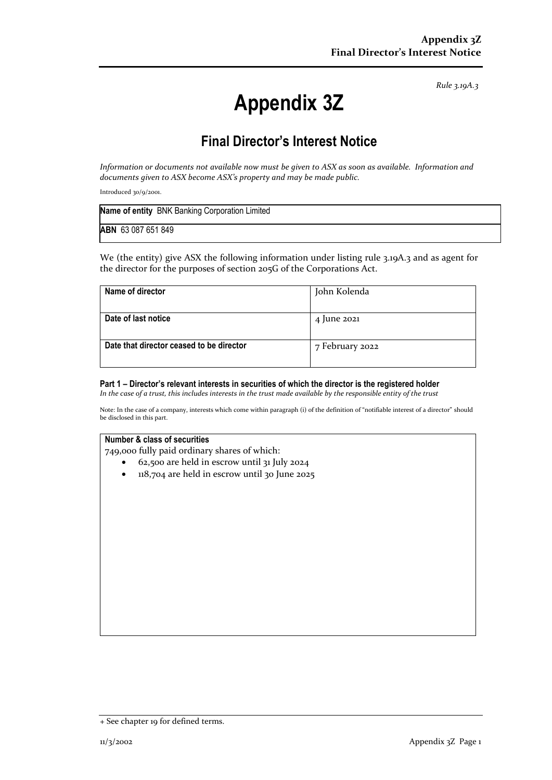*Rule 3.19A.3*

# **Appendix 3Z**

# **Final Director's Interest Notice**

*Information or documents not available now must be given to ASX as soon as available. Information and documents given to ASX become ASX's property and may be made public.*

Introduced 30/9/2001.

| Name of entity BNK Banking Corporation Limited |  |
|------------------------------------------------|--|
| ABN 63 087 651 849                             |  |

We (the entity) give ASX the following information under listing rule 3.19A.3 and as agent for the director for the purposes of section 205G of the Corporations Act.

| Name of director                         | John Kolenda    |
|------------------------------------------|-----------------|
|                                          |                 |
| Date of last notice                      | 4 June 2021     |
|                                          |                 |
| Date that director ceased to be director | 7 February 2022 |
|                                          |                 |
|                                          |                 |

#### **Part 1 – Director's relevant interests in securities of which the director is the registered holder**

*In the case of a trust, this includes interests in the trust made available by the responsible entity of the trust*

Note: In the case of a company, interests which come within paragraph (i) of the definition of "notifiable interest of a director" should be disclosed in this part.

#### **Number & class of securities**

749,000 fully paid ordinary shares of which:

- 62,500 are held in escrow until 31 July 2024
- 118,704 are held in escrow until 30 June 2025

<sup>+</sup> See chapter 19 for defined terms.